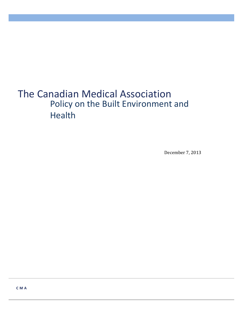# The Canadian Medical Association Policy on the Built Environment and Health

December 7, 2013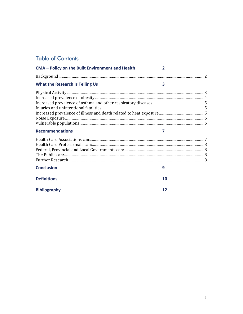# **Table of Contents**

| CMA - Policy on the Built Environment and Health | $\overline{\mathbf{z}}$ |
|--------------------------------------------------|-------------------------|
|                                                  |                         |
| <b>What the Research Is Telling Us</b>           | $\overline{\mathbf{3}}$ |
|                                                  |                         |
|                                                  |                         |
|                                                  |                         |
|                                                  |                         |
| <b>Recommendations</b>                           | 7                       |
|                                                  |                         |
|                                                  |                         |
|                                                  |                         |
| <b>Conclusion</b>                                | 9                       |
| <b>Definitions</b>                               | 10                      |
| <b>Bibliography</b>                              | 12                      |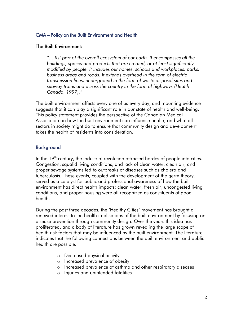# <span id="page-2-0"></span>CMA – Policy on the Built Environment and Health

#### The Built Environment:

*"... [Is] part of the overall ecosystem of our earth. It encompasses all the buildings, spaces and products that are created, or at least significantly modified by people. It includes our homes, schools and workplaces, parks, business areas and roads. It extends overhead in the form of electric transmission lines, underground in the form of waste disposal sites and subway trains and across the country in the form of highways (Health Canada, 1997)."* 

The built environment affects every one of us every day, and mounting evidence suggests that it can play a significant role in our state of health and well-being. This policy statement provides the perspective of the Canadian Medical Association on how the built environment can influence health, and what all sectors in society might do to ensure that community design and development takes the health of residents into consideration.

# <span id="page-2-1"></span>**Background**

In the  $19<sup>th</sup>$  century, the industrial revolution attracted hordes of people into cities. Congestion, squalid living conditions, and lack of clean water, clean air, and proper sewage systems led to outbreaks of diseases such as cholera and tuberculosis. These events, coupled with the development of the germ theory, served as a catalyst for public and professional awareness of how the built environment has direct health impacts; clean water, fresh air, uncongested living conditions, and proper housing were all recognized as constituents of good health.

During the past three decades, the 'Healthy Cities' movement has brought a renewed interest to the health implications of the built environment by focusing on disease prevention through community design. Over the years this idea has proliferated, and a body of literature has grown revealing the large scope of health risk factors that may be influenced by the built environment. The literature indicates that the following connections between the built environment and public health are possible:

- o Decreased physical activity
- o Increased prevalence of obesity
- o Increased prevalence of asthma and other respiratory diseases
- o Injuries and unintended fatalities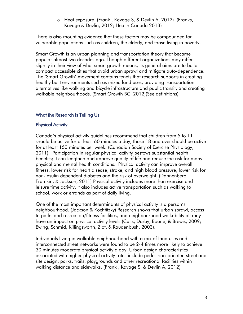o Heat exposure. (Frank , Kavage S, & Devlin A, 2012) (Franks, Kavage & Devlin, 2012; Health Canada 2013)

There is also mounting evidence that these factors may be compounded for vulnerable populations such as children, the elderly, and those living in poverty.

Smart Growth is an urban planning and transportation theory that became popular almost two decades ago. Though different organizations may differ slightly in their view of what smart growth means, its general aims are to build compact accessible cities that avoid urban sprawl and mitigate auto-dependence. The 'Smart Growth' movement contains tenets that research supports in creating healthy built environments such as mixed land uses, providing transportation alternatives like walking and bicycle infrastructure and public transit, and creating walkable neighbourhoods. (Smart Growth BC, 2012)(See definitions)

# <span id="page-3-0"></span>What the Research Is Telling Us

# <span id="page-3-1"></span>Physical Activity

Canada's physical activity guidelines recommend that children from 5 to 11 should be active for at least 60 minutes a day; those 18 and over should be active for at least 150 minutes per week. (Canadian Society of Exercise Physiology, 2011). Participation in regular physical activity bestows substantial health benefits; it can lengthen and improve quality of life and reduce the risk for many physical and mental health conditions. Physical activity can improve overall fitness, lower risk for heart disease, stroke, and high blood pressure, lower risk for non-insulin dependent diabetes and the risk of overweight. (Dannenberg, Frumkin, & Jackson, 2011) Physical activity includes more than exercise and leisure time activity, it also includes active transportation such as walking to school, work or errands as part of daily living.

One of the most important determinants of physical activity is a person's neighbourhood. (Jackson & Kochtitzky) Research shows that urban sprawl, access to parks and recreation/fitness facilities, and neighbourhood walkability all may have an impact on physical activity levels (Cutts, Darby, Boone, & Brewis, 2009; Ewing, Schmid, Killingsworth, Zlot, & Raudenbush, 2003).

Individuals living in walkable neighbourhood with a mix of land uses and interconnected street networks were found to be 2-4 times more likely to achieve 30 minutes moderate physical activity a day. Urban design characteristics associated with higher physical activity rates include pedestrian-oriented street and site design, parks, trails, playgrounds and other recreational facilities within walking distance and sidewalks. (Frank , Kavage S, & Devlin A, 2012)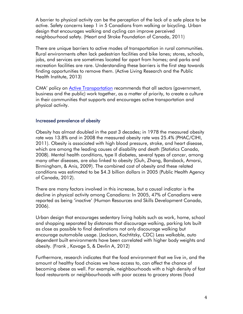A barrier to physical activity can be the perception of the lack of a safe place to be active. Safety concerns keep 1 in 5 Canadians from walking or bicycling. Urban design that encourages walking and cycling can improve perceived neighbourhood safety. (Heart and Stroke Foundation of Canada, 2011)

There are unique barriers to active modes of transportation in rural communities. Rural environments often lack pedestrian facilities and bike lanes; stores, schools, jobs, and services are sometimes located far apart from homes; and parks and recreation facilities are rare. Understanding these barriers is the first step towards finding opportunities to remove them. (Active Living Research and the Public Health Institute, 2013)

CMA' policy on [Active Transportation](http://policybase.cma.ca/dbtw-wpd/Policypdf/PD09-04.pdf) recommends that all sectors (government, business and the public) work together, as a matter of priority, to create a culture in their communities that supports and encourages active transportation and physical activity.

#### <span id="page-4-0"></span>Increased prevalence of obesity

Obesity has almost doubled in the past 3 decades; in 1978 the measured obesity rate was 13.8% and in 2008 the measured obesity rate was 25.4% (PHAC/CIHI, 2011). Obesity is associated with high blood pressure, stroke, and heart disease, which are among the leading causes of disability and death (Statistics Canada, 2008). Mental health conditions, type II diabetes, several types of cancer, among many other diseases, are also linked to obesity (Guh, Zhang, Bansback, Amarsi, Birmingham, & Anis, 2009). The combined cost of obesity and these related conditions was estimated to be \$4.3 billion dollars in 2005 (Public Health Agency of Canada, 2012).

There are many factors involved in this increase, but a causal indicator is the decline in physical activity among Canadians: In 2005, 47% of Canadians were reported as being 'inactive' (Human Resources and Skills Development Canada, 2006).

Urban design that encourages sedentary living habits such as work, home, school and shopping separated by distances that discourage walking, parking lots built as close as possible to final destinations not only discourage walking but encourage automobile usage. (Jackson, Kochtitzky, CDC) Less walkable, auto dependent built environments have been correlated with higher body weights and obesity. (Frank , Kavage S, & Devlin A, 2012)

Furthermore, research indicates that the food environment that we live in, and the amount of healthy food choices we have access to, can affect the chance of becoming obese as well. For example, neighbourhoods with a high density of fast food restaurants or neighbourhoods with poor access to grocery stores (food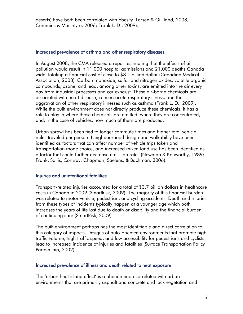deserts) have both been correlated with obesity (Larsen & Gilliland, 2008; Cummins & Macintyre, 2006; Frank L. D., 2009).

#### <span id="page-5-0"></span>Increased prevalence of asthma and other respiratory diseases

In August 2008, the CMA released a report estimating that the effects of air pollution would result in 11,000 hospital admissions and 21,000 deaths Canada wide, totaling a financial cost of close to \$8.1 billion dollar (Canadian Medical Association, 2008). Carbon monoxide, sulfur and nitrogen oxides, volatile organic compounds, ozone, and lead, among other toxins, are emitted into the air every day from industrial processes and car exhaust. These air-borne chemicals are associated with heart disease, cancer, acute respiratory illness, and the aggravation of other respiratory illnesses such as asthma (Frank L. D., 2009). While the built environment does not directly produce these chemicals, it has a role to play in where those chemicals are emitted, where they are concentrated, and, in the case of vehicles, how much of them are produced.

Urban sprawl has been tied to longer commute times and higher total vehicle miles traveled per person. Neighbourhood design and walkability have been identified as factors that can affect number of vehicle trips taken and transportation mode choice, and increased mixed land use has been identified as a factor that could further decrease emission rates (Newman & Kenworthy, 1989; Frank, Sallis, Conway, Chapman, Saelens, & Bachman, 2006).

#### <span id="page-5-1"></span>Injuries and unintentional fatalities

Transport-related injuries accounted for a total of \$3.7 billion dollars in healthcare costs in Canada in 2009 (SmartRisk, 2009). The majority of this financial burden was related to motor vehicle, pedestrian, and cycling accidents. Death and injuries from these types of incidents typically happen at a younger age which both increases the years of life lost due to death or disability and the financial burden of continuing care (SmartRisk, 2009).

The built environment perhaps has the most identifiable and direct correlation to this category of impacts. Designs of auto-oriented environments that promote high traffic volume, high traffic speed, and low accessibility for pedestrians and cyclists lead to increased incidence of injuries and fatalities (Surface Transportation Policy Partnership, 2002).

#### <span id="page-5-2"></span>Increased prevalence of illness and death related to heat exposure

The 'urban heat island effect' is a phenomenon correlated with urban environments that are primarily asphalt and concrete and lack vegetation and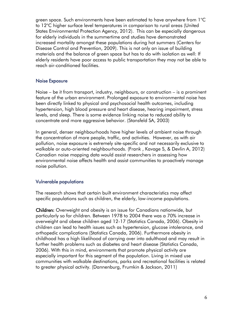green space. Such environments have been estimated to have anywhere from  $1^{\circ}\textrm{C}$ to 12°C higher surface level temperatures in comparison to rural areas (United States Environmental Protection Agency, 2012). This can be especially dangerous for elderly individuals in the summertime and studies have demonstrated increased mortality amongst these populations during hot summers (Centers for Disease Control and Prevention, 2009). This is not only an issue of building materials and the balance of green space but has to do with isolation as well: If elderly residents have poor access to public transportation they may not be able to reach air-conditioned facilities.

#### <span id="page-6-0"></span>Noise Exposure

Noise – be it from transport, industry, neighbours, or construction – is a prominent feature of the urban environment. Prolonged exposure to environmental noise has been directly linked to physical and psychosocial health outcomes, including hypertension, high blood pressure and heart disease, hearing impairment, stress levels, and sleep. There is some evidence linking noise to reduced ability to concentrate and more aggressive behavior. (Stansfeld SA, 2003)

In general, denser neighbourhoods have higher levels of ambient noise through the concentration of more people, traffic, and activities. However, as with air pollution, noise exposure is extremely site-specific and not necessarily exclusive to walkable or auto-oriented neighbourhoods. (Frank , Kavage S, & Devlin A, 2012) Canadian noise mapping data would assist researchers in assessing how environmental noise affects health and assist communities to proactively manage noise pollution.

#### <span id="page-6-1"></span>Vulnerable populations

The research shows that certain built environment characteristics may affect specific populations such as children, the elderly, low-income populations.

Children: Overweight and obesity is an issue for Canadians nationwide, but particularly so for children. Between 1978 to 2004 there was a 70% increase in overweight and obese children aged 12-17 (Statistics Canada, 2006). Obesity in children can lead to health issues such as hypertension, glucose intolerance, and orthopedic complications (Statistics Canada, 2006). Furthermore obesity in childhood has a high likelihood of carrying over into adulthood and may result in further health problems such as diabetes and heart disease (Statistics Canada, 2006). With this in mind, environments that promote physical activity are especially important for this segment of the population. Living in mixed use communities with walkable destinations, parks and recreational facilities is related to greater physical activity. (Dannenburg, Frumkin & Jackson, 2011)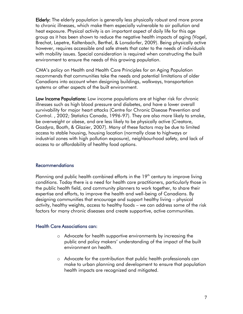Elderly: The elderly population is generally less physically robust and more prone to chronic illnesses, which make them especially vulnerable to air pollution and heat exposure. Physical activity is an important aspect of daily life for this age group as it has been shown to reduce the negative health impacts of aging (Vogel, Brechat, Lepetre, Kaltenbach, Berthel, & Lonsdorfer, 2009). Being physically active however, requires accessible and safe streets that cater to the needs of individuals with mobility issues. Special consideration is required when constructing the built environment to ensure the needs of this growing population.

CMA's policy on Health and Health Care Principles for an Aging Population recommends that communities take the needs and potential limitations of older Canadians into account when designing buildings, walkways, transportation systems or other aspects of the built environment.

Low Income Populations: Low income populations are at higher risk for chronic illnesses such as high blood pressure and diabetes, and have a lower overall survivability for major heart attacks (Centre for Chronic Disease Prevention and Control. , 2002; Statistics Canada, 1996-97). They are also more likely to smoke, be overweight or obese, and are less likely to be physically active (Creatore, Gozdyra, Booth, & Glazier, 2007). Many of these factors may be due to limited access to stable housing, housing location (normally close to highways or industrial zones with high pollution exposure), neighbourhood safety, and lack of access to or affordability of healthy food options.

#### <span id="page-7-0"></span>Recommendations

Planning and public health combined efforts in the  $19<sup>th</sup>$  century to improve living conditions. Today there is a need for health care practitioners, particularly those in the public health field, and community planners to work together, to share their expertise and efforts, to improve the health and well-being of Canadians. By designing communities that encourage and support healthy living – physical activity, healthy weights, access to healthy foods – we can address some of the risk factors for many chronic diseases and create supportive, active communities.

#### <span id="page-7-1"></span>Health Care Associations can:

- o Advocate for health supportive environments by increasing the public and policy makers' understanding of the impact of the built environment on health.
- make to urban planning and development to ensure that population health impacts are recognized and mitigated. o Advocate for the contribution that public health professionals can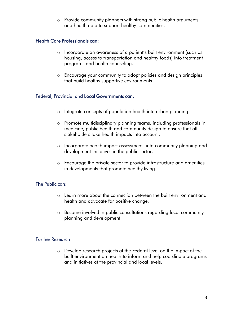o Provide community planners with strong public health arguments and health data to support healthy communities.

# <span id="page-8-0"></span>Health Care Professionals can:

- o Incorporate an awareness of a patient's built environment (such as housing, access to transportation and healthy foods) into treatment programs and health counseling.
- o Encourage your community to adopt policies and design principles that build healthy supportive environments.

#### <span id="page-8-1"></span>Federal, Provincial and Local Governments can:

- o Integrate concepts of population health into urban planning.
- medicine, public health and community design to ensure that all stakeholders take health impacts into account. o Promote multidisciplinary planning teams, including professionals in
- o Incorporate health impact assessments into community planning and development initiatives in the public sector.
- o Encourage the private sector to provide infrastructure and amenities in developments that promote healthy living.

#### <span id="page-8-2"></span>The Public can:

- o Learn more about the connection between the built environment and health and advocate for positive change.
- o Become involved in public consultations regarding local community planning and development.

#### <span id="page-8-3"></span>Further Research

 o Develop research projects at the Federal level on the impact of the built environment on health to inform and help coordinate programs and initiatives at the provincial and local levels.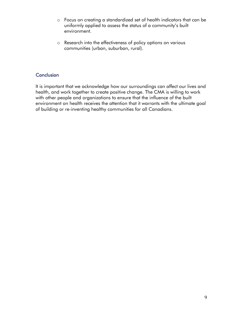- o Focus on creating a standardized set of health indicators that can be uniformly applied to assess the status of a community's built environment.
- o Research into the effectiveness of policy options on various communities (urban, suburban, rural).

# <span id="page-9-0"></span>**Conclusion**

It is important that we acknowledge how our surroundings can affect our lives and health, and work together to create positive change. The CMA is willing to work with other people and organizations to ensure that the influence of the built environment on health receives the attention that it warrants with the ultimate goal of building or re-inventing healthy communities for all Canadians.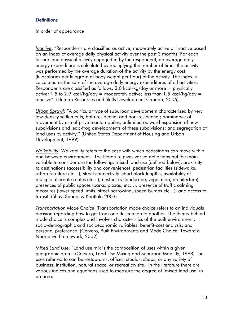# <span id="page-10-0"></span>**Definitions**

#### In order of appearance

*Inactive*: "Respondents are classified as active, moderately active or inactive based on an index of average daily physical activity over the past 3 months. For each leisure time physical activity engaged in by the respondent, an average daily energy expenditure is calculated by multiplying the number of times the activity was performed by the average duration of the activity by the energy cost (kilocalories per kilogram of body weight per hour) of the activity. The index is calculated as the sum of the average daily energy expenditures of all activities. Respondents are classified as follows: 3.0 kcal/kg/day or more = physically active; 1.5 to 2.9 kcal/kg/day = moderately active; less than  $1.5$  kcal/kg/day = inactive". (Human Resources and Skills Development Canada, 2006).

*Urban Sprawl*: "A particular type of suburban development characterized by very low-density settlements, both residential and non-residential; dominance of movement by use of private automobiles, unlimited outward expansion of new subdivisions and leap-frog developments of these subdivisions; and segregation of land uses by activity." (United States Department of Housing and Urban Development, 1999)

*Walkability*: Walkability refers to the ease with which pedestrians can move within and between environments. The literature gives varied definitions but the main variable to consider are the following: mixed land use (defined below), proximity to destinations (accessibility and convenience), pedestrian facilities (sidewalks, urban furniture etc…), street connectivity (short block lengths, availability of multiple alternate routes etc…), aesthetics (landscape, vegetation, architecture), presences of public spaces (parks, plazas, etc…), presence of traffic calming measures (lower speed limits, street narrowing, speed bumps etc…), and access to transit. (Shay, Spoon, & Khattak, 2003)

*Transportation Mode Choice*: Transportation mode choice refers to an individuals decision regarding how to get from one destination to another. The theory behind mode choice is complex and involves characteristics of the built environment, socio-demographic and socioeconomic variables, benefit-cost analysis, and personal preference. (Cervero, Built Environments and Mode Choice: Toward a Normative Framework, 2002)

*Mixed Land Use:* "Land use mix is the composition of uses within a given geographic area." (Cervero, Land Use Mixing and Suburban Mobility, 1998) The uses referred to can be restaurants, offices, studios, shops, or any variety of business, institution, natural space, or recreation site. In the literature there are various indices and equations used to measure the degree of 'mixed land use' in an area.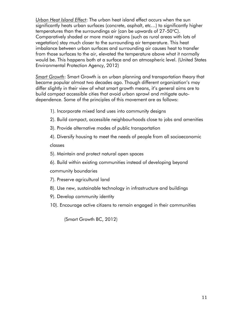*Urban Heat Island Effect*: The urban heat island effect occurs when the sun significantly heats urban surfaces (concrete, asphalt, etc…) to significantly higher temperatures than the surroundings air (can be upwards of 27-50°C). Comparatively shaded or more moist regions (such as rural areas with lots of vegetation) stay much closer to the surrounding air temperature. This heat imbalance between urban surfaces and surrounding air causes heat to transfer from those surfaces to the air, elevated the temperature above what it normally would be. This happens both at a surface and an atmospheric level. (United States Environmental Protection Agency, 2012)

*Smart Growth*: Smart Growth is an urban planning and transportation theory that became popular almost two decades ago. Though different organization's may differ slightly in their view of what smart growth means, it's general aims are to build compact accessible cities that avoid urban sprawl and mitigate autodependence. Some of the principles of this movement are as follows:

- 1). Incorporate mixed land uses into community designs
- 2). Build compact, accessible neighbourhoods close to jobs and amenities
- 3). Provide alternative modes of public transportation

4). Diversify housing to meet the needs of people from all socioeconomic classes

- 5). Maintain and protect natural open spaces
- 6). Build within existing communities instead of developing beyond

community boundaries

- 7). Preserve agricultural land
- 8). Use new, sustainable technology in infrastructure and buildings
- 9). Develop community identity
- 10). Encourage active citizens to remain engaged in their communities

(Smart Growth BC, 2012)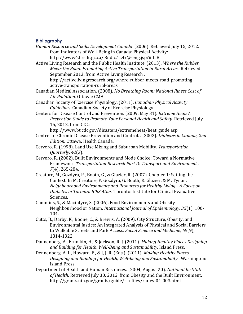#### <span id="page-12-0"></span>Bibliography

- *Human Resource and Skills Development Canada*. (2006). Retrieved July 15, 2012, from Indicators of Well-Being in Canada: Physical Activity: http://www4.hrsdc.gc.ca/.3ndic.1t.4r@-eng.jsp?iid=8
- *Meets the Road: Promoting Active Transportation in Rural Areas..* Retrieved Active Living Research and the Public Health Institute. (2013). *Where the Rubber*  September 2013, from Active Living Research :

http://activelivingresearch.org/where-rubber-meets-road-promotingactive-transportation-rural-areas

Canadian Medical Association. (2008). *No Breathing Room: National Illness Cost of Air Pollution.* Ottawa: CMA.

Canadian Society of Exercise Physiology. (2011). *Canadian Physical Activity Guidelines.* Canadian Society of Exercise Physiology.

 15, 2012, from CDC: Centers for Disease Control and Prevention. (2009, May 31). *Extreme Heat: A Prevention Guide to Promote Your Personal Health and Safety*. Retrieved July

http://www.bt.cdc.gov/disasters/extremeheat/heat\_guide.asp

- Centre for Chronic Disease Prevention and Control. . (2002). *Diabetes in Canada, 2nd Edition.* Ottawa: Health Canada.
- Cervero, R. (1998). Land Use Mixing and Suburban Mobility. *Transportation Quarterly, 42*(3).
- Cervero, R. (2002). Built Environments and Mode Choice: Toward a Normative Framework. *Transportation Research Part D: Transport and Environment , 7*(4), 265-284.
- *Neighbourhood Environments and Resources for Healthy Living A Focus on*  Creatore, M., Gozdyra, P., Booth, G., & Glazier, R. (2007). Chapter 1: Setting the Context. In M. Creatore, P. Gozdyra, G. Booth, R. Glazier, & M. Tynan, *Diabetes in Toronto: ICES Atlas.* Toronto: Institute for Clinical Evaluative Sciences.
- Cummins, S., & Macintyre, S. (2006). Food Environments and Obesity Neighbourhood or Nation. *International Journal of Epidemiology, 35*(1), 100- 104.
- Cutts, B., Darby, K., Boone, C., & Brewis, A. (2009). City Structure, Obesity, and Environmental Justice: An Integrated Analysis of Physical and Social Barriers to Walkable Streets and Park Access. *Social Science and Medicine, 69*(9), 1314-1322.
- Dannenberg, A., Frumkin, H., & Jackson, R. J. (2011). *Making Healthy Places Designing and Building for Health, Well-Being and Sustainability.* Island Press.
- Dennenberg, A. L., Howard, F., & J, J. R. (Eds.). (2011). *Making Healthy Places Designing and Building for Health, Well-being and Sustainability .* Washington: Island Press.
- Department of Health and Human Resources. (2004, August 20). *National Institute of Health*. Retrieved July 30, 2012, from Obesity and the Built Environment: http://grants.nih.gov/grants/guide/rfa-files/rfa-es-04-003.html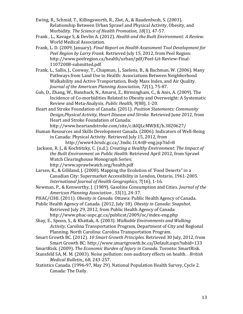- Ewing, R., Schmid, T., Killingsworth, R., Zlot, A., & Raudenbush, S. (2003). Relationship Between Urban Sprawl and Physical Activity, Obesity, and Morbidity. *The Science of Health Promotion, 18*(1), 47-57.
- Frank , L., Kavage S, & Devlin A. (2012). *Health and the Built Environment: A Review.*  World Medical Association.
- Frank, L. D. (2009, January). *Final Report on Health Assessment Tool Development for Peel Region by Larry Frank.* Retrieved July 15, 2012, from Peel Region: http://www.peelregion.ca/health/urban/pdf/Peel-Lit-Review-Final-11072008-submitted.pdf
- *Journal of the American Planning Association, 72*(1), 75-87. Frank, L., Sallis, J., Conway, T., Chapman, J., Saelens, B., & Bachman, W. (2006). Many Pathways from Land Use to Health: Associations Between Neighborhood Walkability and Active Tranportation, Body Mass Index, and Air Quality.
- Guh, D., Zhang, W., Bansback, N., Amarsi, Z., Birmingham, C., & Anis, A. (2009). The Incidence of Co-morbidities Related to Obesity and Overweight: A Systematic Review and Meta-Analysis. *Public Health, 9*(88), 1-20.
- *Design,Physical Activity, Heart Disease and Stroke.* Retrieved June 2012, from Heart and Stroke Foundation of Canada. (2011). *Position Statements: Community*  Heart and Stroke Foundation of Canada:

http://www.heartandstroke.com/site/c.iklQLcMWJtE/b.3820627/

- Human Resources and Skills Development Canada. (2006). Indicators of Well-Being in Canada: Physical Activity. Retrieved July 15, 2012, from http://www4.hrsdc.gc.ca/.3ndic.1t.4r@-eng.jsp?iid=8
- Jackson, R. J., & Kochtitzky, C. (n.d.). *Creating a Healthy Environment: The Impact of the Built Environment on Public Health.* Retrieved April 2012, from Sprawl Watch Clearinghouse Monograph Series: http://www.sprawlwatch.org/health.pdf
- Larsen, K., & Gilliland, J. (2008). Mapping the Evolution of 'Food Deserts" in a Canadian City: Supermarket Accessibility in London, Ontario, 1961-2005. *International Journal of Health Geographics, 7*(16), 1-16.
- Newman, P., & Kenworthy, J. (1989). Gasoline Consumption and Cities. *Journal of the American Planning Association , 55*(1), 24-37.
- PHAC/CIHI. (2011). *Obesity in Canada.* Ottawa: Public Health Agency of Canada.
- Public Health Agency of Canada. (2012, July 18). *Obestiy in Canada: Snapshot*. Retrieved July 29, 2012, from Public Health Agency of Canada:

http://www.phac-aspc.gc.ca/publicat/2009/oc/index-eng.php

- Shay, E., Spoon, S., & Khattak, A. (2003). *Walkable Environments and Walking Activity.* Carolina Transportation Program, Department of City and Regional Planning. North Carolina: Carolina Transportation Program.
- Smart Growth BC. (2012). *10 Smart Growth Principles*. Retrieved 30 July, 2012, from Smart Growth BC: http://www.smartgrowth.bc.ca/Default.aspx?tabid=133
- SmartRisk. (2009). *The Economic Burden of Injury in Canada.* Toronto: SmartRisk.
- Stansfeld SA, M. M. (2003). Noise pollution: non-auditory effects on health. . *British Medical Bulletin,*, 68, 243-257.
- Statistics Canada. (1996-97, May 29). National Population Health Survey, Cycle 2. Canada: The Daily.